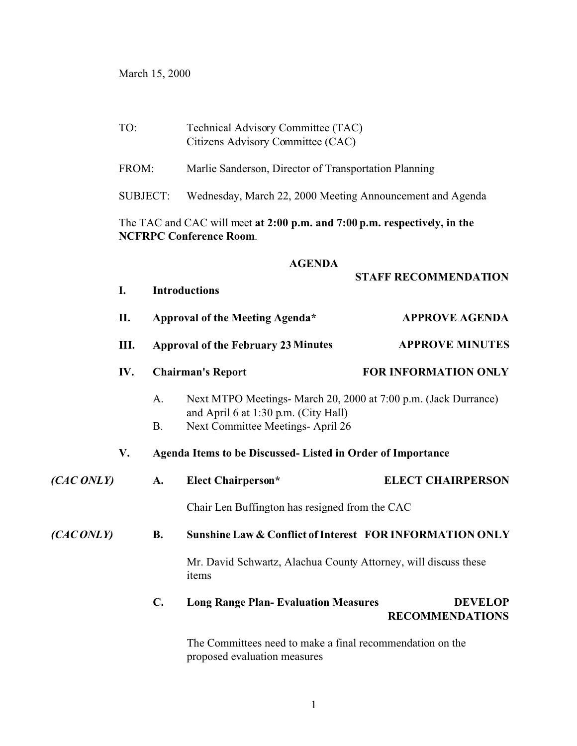March 15, 2000

|            | TO:                                                                                                         |                                                                                                                                                                 | Technical Advisory Committee (TAC)<br>Citizens Advisory Committee (CAC) |                        |                                          |  |  |
|------------|-------------------------------------------------------------------------------------------------------------|-----------------------------------------------------------------------------------------------------------------------------------------------------------------|-------------------------------------------------------------------------|------------------------|------------------------------------------|--|--|
| FROM:      |                                                                                                             |                                                                                                                                                                 | Marlie Sanderson, Director of Transportation Planning                   |                        |                                          |  |  |
|            |                                                                                                             | <b>SUBJECT:</b>                                                                                                                                                 | Wednesday, March 22, 2000 Meeting Announcement and Agenda               |                        |                                          |  |  |
|            | The TAC and CAC will meet at 2:00 p.m. and 7:00 p.m. respectively, in the<br><b>NCFRPC Conference Room.</b> |                                                                                                                                                                 |                                                                         |                        |                                          |  |  |
|            |                                                                                                             | <b>AGENDA</b><br><b>STAFF RECOMMENDATION</b>                                                                                                                    |                                                                         |                        |                                          |  |  |
|            | I.                                                                                                          | <b>Introductions</b>                                                                                                                                            |                                                                         |                        |                                          |  |  |
|            | П.                                                                                                          | Approval of the Meeting Agenda*                                                                                                                                 |                                                                         | <b>APPROVE AGENDA</b>  |                                          |  |  |
|            | Ш.                                                                                                          | <b>Approval of the February 23 Minutes</b>                                                                                                                      |                                                                         | <b>APPROVE MINUTES</b> |                                          |  |  |
|            | IV.                                                                                                         |                                                                                                                                                                 | <b>Chairman's Report</b>                                                |                        | FOR INFORMATION ONLY                     |  |  |
|            |                                                                                                             | Next MTPO Meetings- March 20, 2000 at 7:00 p.m. (Jack Durrance)<br>A.<br>and April 6 at 1:30 p.m. (City Hall)<br>Next Committee Meetings- April 26<br><b>B.</b> |                                                                         |                        |                                          |  |  |
|            | V.                                                                                                          | Agenda Items to be Discussed- Listed in Order of Importance                                                                                                     |                                                                         |                        |                                          |  |  |
| (CAC ONLY) |                                                                                                             | A.                                                                                                                                                              | <b>Elect Chairperson*</b>                                               |                        | <b>ELECT CHAIRPERSON</b>                 |  |  |
|            |                                                                                                             | Chair Len Buffington has resigned from the CAC                                                                                                                  |                                                                         |                        |                                          |  |  |
| (CACONLY)  |                                                                                                             | <b>B.</b>                                                                                                                                                       | Sunshine Law & Conflict of Interest FOR INFORMATION ONLY                |                        |                                          |  |  |
|            |                                                                                                             | Mr. David Schwartz, Alachua County Attorney, will discuss these<br>items                                                                                        |                                                                         |                        |                                          |  |  |
|            |                                                                                                             | $\mathbf{C}$ .                                                                                                                                                  | <b>Long Range Plan- Evaluation Measures</b>                             |                        | <b>DEVELOP</b><br><b>RECOMMENDATIONS</b> |  |  |
|            |                                                                                                             |                                                                                                                                                                 | The Committees need to make a final recommendation on the               |                        |                                          |  |  |

The Committees need to make a final recommendation on the proposed evaluation measures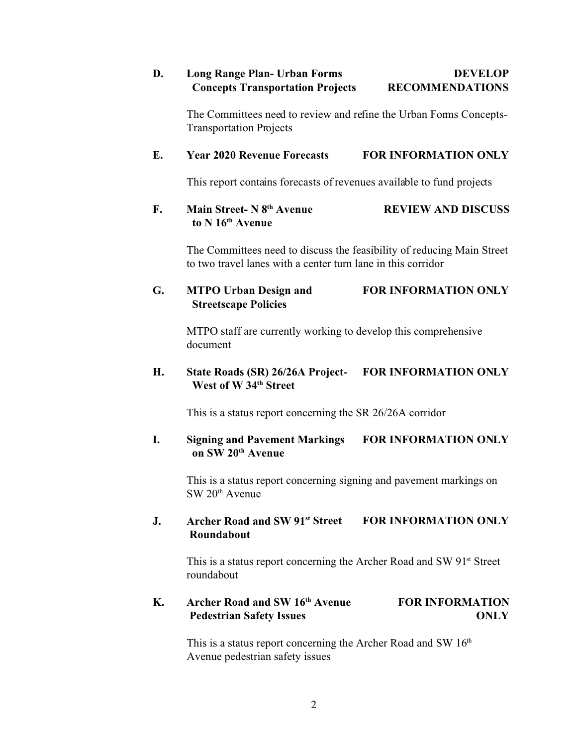## **D. Long Range Plan- Urban Forms DEVELOP Concepts Transportation Projects RECOMMENDATIONS**

The Committees need to review and refine the Urban Forms Concepts-Transportation Projects

## **E. Year 2020 Revenue Forecasts FOR INFORMATION ONLY**

This report contains forecasts of revenues available to fund projects

## **F. Main Street- N 8th Avenue REVIEW AND DISCUSS to N 16th Avenue**

The Committees need to discuss the feasibility of reducing Main Street to two travel lanes with a center turn lane in this corridor

## **G. MTPO Urban Design and FOR INFORMATION ONLY Streetscape Policies**

MTPO staff are currently working to develop this comprehensive document

## **H. State Roads (SR) 26/26A Project- FOR INFORMATION ONLY West of W 34th Street**

This is a status report concerning the SR 26/26A corridor

## **I. Signing and Pavement Markings FOR INFORMATION ONLY on SW 20th Avenue**

This is a status report concerning signing and pavement markings on  $SW 20<sup>th</sup>$  Avenue

## **J. Archer Road and SW 91st Street FOR INFORMATION ONLY Roundabout**

This is a status report concerning the Archer Road and SW 91<sup>st</sup> Street roundabout

## **K. Archer Road and SW 16th Avenue FOR INFORMATION Pedestrian Safety Issues ONLY**

This is a status report concerning the Archer Road and SW  $16<sup>th</sup>$ Avenue pedestrian safety issues